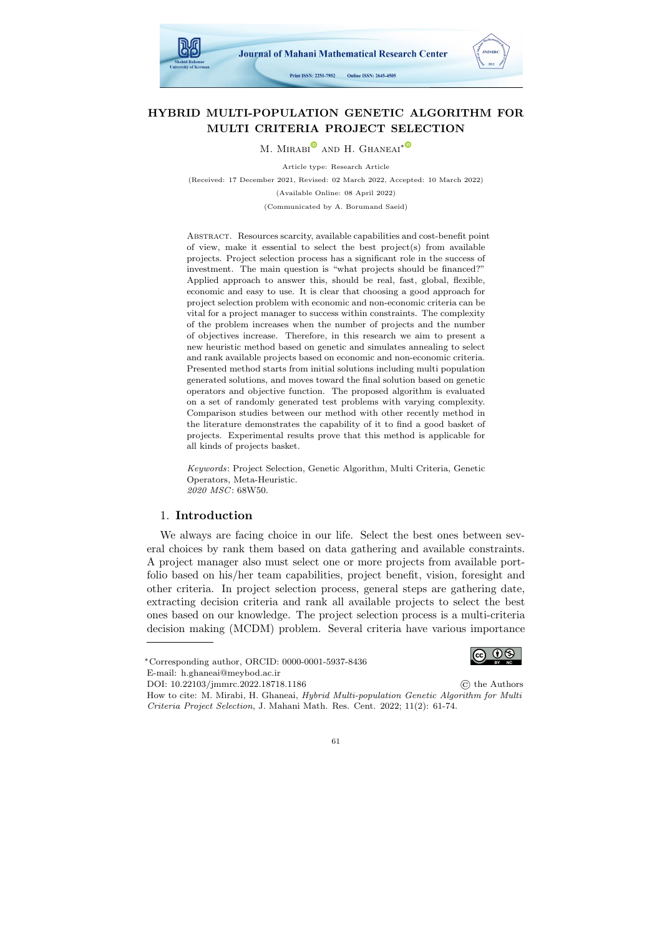

# HYBRID MULTI-POPULATION GENETIC ALGORITHM FOR MULTI CRITERIA PROJECT SELECTION

M. MIRABI<sup>®</sup> AND H. GHANEAI<sup>\*®</sup>

Article type: Research Article (Received: 17 December 2021, Revised: 02 March 2022, Accepted: 10 March 2022) (Available Online: 08 April 2022) (Communicated by A. Borumand Saeid)

Abstract. Resources scarcity, available capabilities and cost-benefit point of view, make it essential to select the best project(s) from available projects. Project selection process has a significant role in the success of investment. The main question is "what projects should be financed?" Applied approach to answer this, should be real, fast, global, flexible, economic and easy to use. It is clear that choosing a good approach for project selection problem with economic and non-economic criteria can be vital for a project manager to success within constraints. The complexity of the problem increases when the number of projects and the number of objectives increase. Therefore, in this research we aim to present a new heuristic method based on genetic and simulates annealing to select and rank available projects based on economic and non-economic criteria. Presented method starts from initial solutions including multi population generated solutions, and moves toward the final solution based on genetic operators and objective function. The proposed algorithm is evaluated on a set of randomly generated test problems with varying complexity. Comparison studies between our method with other recently method in the literature demonstrates the capability of it to find a good basket of projects. Experimental results prove that this method is applicable for all kinds of projects basket.

Keywords: Project Selection, Genetic Algorithm, Multi Criteria, Genetic Operators, Meta-Heuristic. 2020 MSC: 68W50.

### 1. Introduction

We always are facing choice in our life. Select the best ones between several choices by rank them based on data gathering and available constraints. A project manager also must select one or more projects from available portfolio based on his/her team capabilities, project benefit, vision, foresight and other criteria. In project selection process, general steps are gathering date, extracting decision criteria and rank all available projects to select the best ones based on our knowledge. The project selection process is a multi-criteria decision making (MCDM) problem. Several criteria have various importance

DOI: [10.22103/jmmrc.2022.18718.1186](https://dorl.net/dor/) © the Authors How to cite: M. Mirabi, H. Ghaneai, Hybrid Multi-population Genetic Algorithm for Multi Criteria Project Selection, J. Mahani Math. Res. Cent. 2022; 11(2): 61-74.



<sup>∗</sup>Corresponding author, ORCID: 0000-0001-5937-8436 E-mail: h.ghaneai@meybod.ac.ir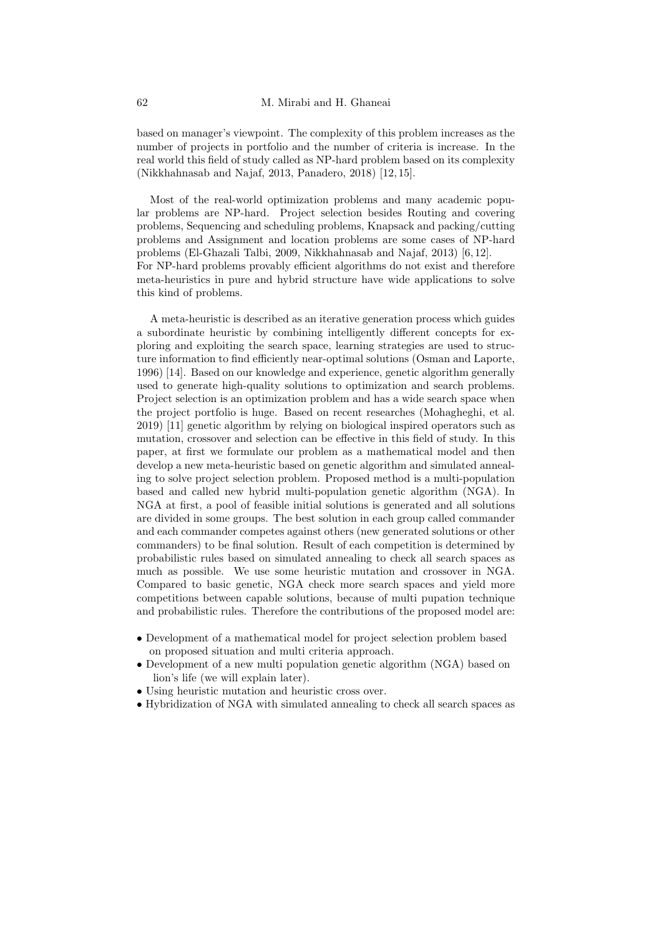based on manager's viewpoint. The complexity of this problem increases as the number of projects in portfolio and the number of criteria is increase. In the real world this field of study called as NP-hard problem based on its complexity (Nikkhahnasab and Najaf, 2013, Panadero, 2018) [\[12,](#page-13-0) [15\]](#page-13-1).

Most of the real-world optimization problems and many academic popular problems are NP-hard. Project selection besides Routing and covering problems, Sequencing and scheduling problems, Knapsack and packing/cutting problems and Assignment and location problems are some cases of NP-hard problems (El-Ghazali Talbi, 2009, Nikkhahnasab and Najaf, 2013) [\[6,](#page-12-0) [12\]](#page-13-0). For NP-hard problems provably efficient algorithms do not exist and therefore meta-heuristics in pure and hybrid structure have wide applications to solve this kind of problems.

A meta-heuristic is described as an iterative generation process which guides a subordinate heuristic by combining intelligently different concepts for exploring and exploiting the search space, learning strategies are used to structure information to find efficiently near-optimal solutions (Osman and Laporte, 1996) [\[14\]](#page-13-2). Based on our knowledge and experience, genetic algorithm generally used to generate high-quality solutions to optimization and search problems. Project selection is an optimization problem and has a wide search space when the project portfolio is huge. Based on recent researches (Mohagheghi, et al. 2019) [\[11\]](#page-12-1) genetic algorithm by relying on biological inspired operators such as mutation, crossover and selection can be effective in this field of study. In this paper, at first we formulate our problem as a mathematical model and then develop a new meta-heuristic based on genetic algorithm and simulated annealing to solve project selection problem. Proposed method is a multi-population based and called new hybrid multi-population genetic algorithm (NGA). In NGA at first, a pool of feasible initial solutions is generated and all solutions are divided in some groups. The best solution in each group called commander and each commander competes against others (new generated solutions or other commanders) to be final solution. Result of each competition is determined by probabilistic rules based on simulated annealing to check all search spaces as much as possible. We use some heuristic mutation and crossover in NGA. Compared to basic genetic, NGA check more search spaces and yield more competitions between capable solutions, because of multi pupation technique and probabilistic rules. Therefore the contributions of the proposed model are:

- Development of a mathematical model for project selection problem based on proposed situation and multi criteria approach.
- Development of a new multi population genetic algorithm (NGA) based on lion's life (we will explain later).
- Using heuristic mutation and heuristic cross over.
- Hybridization of NGA with simulated annealing to check all search spaces as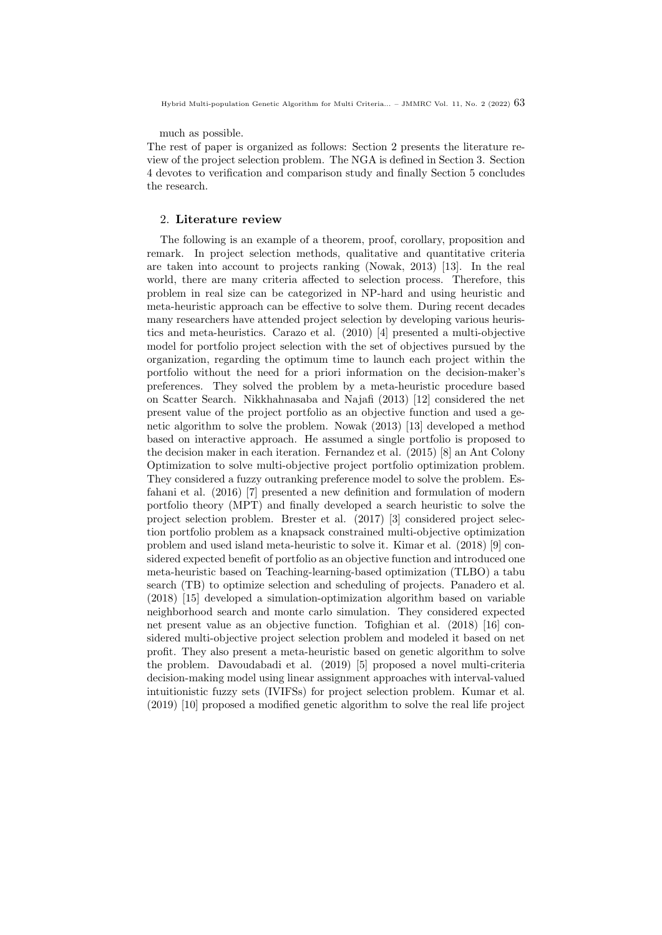much as possible.

The rest of paper is organized as follows: Section 2 presents the literature review of the project selection problem. The NGA is defined in Section 3. Section 4 devotes to verification and comparison study and finally Section 5 concludes the research.

#### 2. Literature review

The following is an example of a theorem, proof, corollary, proposition and remark. In project selection methods, qualitative and quantitative criteria are taken into account to projects ranking (Nowak, 2013) [\[13\]](#page-13-3). In the real world, there are many criteria affected to selection process. Therefore, this problem in real size can be categorized in NP-hard and using heuristic and meta-heuristic approach can be effective to solve them. During recent decades many researchers have attended project selection by developing various heuristics and meta-heuristics. Carazo et al. (2010) [\[4\]](#page-12-2) presented a multi-objective model for portfolio project selection with the set of objectives pursued by the organization, regarding the optimum time to launch each project within the portfolio without the need for a priori information on the decision-maker's preferences. They solved the problem by a meta-heuristic procedure based on Scatter Search. Nikkhahnasaba and Najafi (2013) [\[12\]](#page-13-0) considered the net present value of the project portfolio as an objective function and used a genetic algorithm to solve the problem. Nowak (2013) [\[13\]](#page-13-3) developed a method based on interactive approach. He assumed a single portfolio is proposed to the decision maker in each iteration. Fernandez et al. (2015) [\[8\]](#page-12-3) an Ant Colony Optimization to solve multi-objective project portfolio optimization problem. They considered a fuzzy outranking preference model to solve the problem. Esfahani et al. (2016) [\[7\]](#page-12-4) presented a new definition and formulation of modern portfolio theory (MPT) and finally developed a search heuristic to solve the project selection problem. Brester et al. (2017) [\[3\]](#page-12-5) considered project selection portfolio problem as a knapsack constrained multi-objective optimization problem and used island meta-heuristic to solve it. Kimar et al. (2018) [\[9\]](#page-12-6) considered expected benefit of portfolio as an objective function and introduced one meta-heuristic based on Teaching-learning-based optimization (TLBO) a tabu search (TB) to optimize selection and scheduling of projects. Panadero et al. (2018) [\[15\]](#page-13-1) developed a simulation-optimization algorithm based on variable neighborhood search and monte carlo simulation. They considered expected net present value as an objective function. Tofighian et al. (2018) [\[16\]](#page-13-4) considered multi-objective project selection problem and modeled it based on net profit. They also present a meta-heuristic based on genetic algorithm to solve the problem. Davoudabadi et al. (2019) [\[5\]](#page-12-7) proposed a novel multi-criteria decision-making model using linear assignment approaches with interval-valued intuitionistic fuzzy sets (IVIFSs) for project selection problem. Kumar et al. (2019) [\[10\]](#page-12-8) proposed a modified genetic algorithm to solve the real life project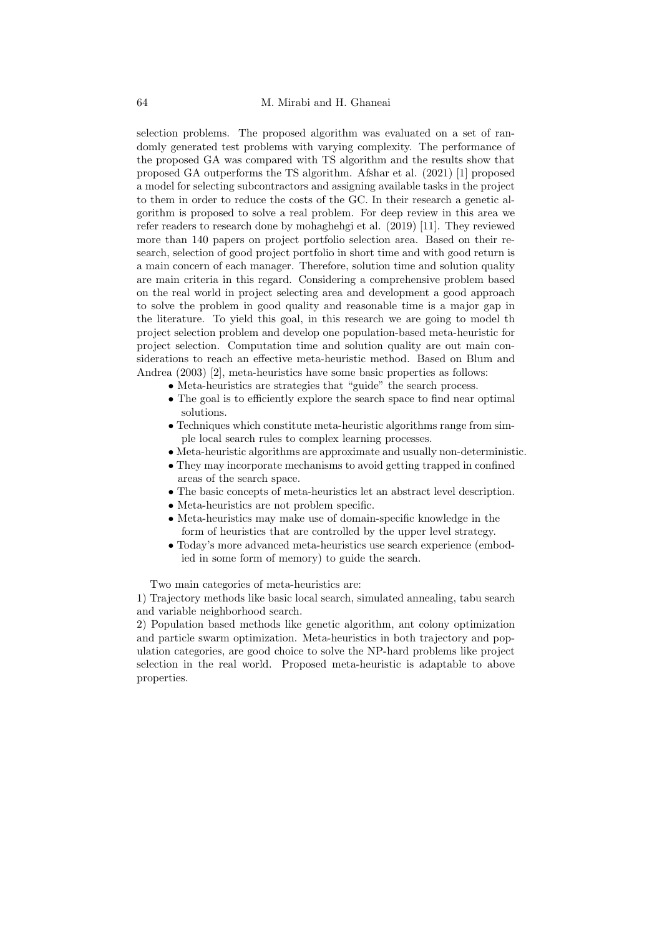selection problems. The proposed algorithm was evaluated on a set of randomly generated test problems with varying complexity. The performance of the proposed GA was compared with TS algorithm and the results show that proposed GA outperforms the TS algorithm. Afshar et al. (2021) [\[1\]](#page-12-9) proposed a model for selecting subcontractors and assigning available tasks in the project to them in order to reduce the costs of the GC. In their research a genetic algorithm is proposed to solve a real problem. For deep review in this area we refer readers to research done by mohaghehgi et al. (2019) [\[11\]](#page-12-1). They reviewed more than 140 papers on project portfolio selection area. Based on their research, selection of good project portfolio in short time and with good return is a main concern of each manager. Therefore, solution time and solution quality are main criteria in this regard. Considering a comprehensive problem based on the real world in project selecting area and development a good approach to solve the problem in good quality and reasonable time is a major gap in the literature. To yield this goal, in this research we are going to model th project selection problem and develop one population-based meta-heuristic for project selection. Computation time and solution quality are out main considerations to reach an effective meta-heuristic method. Based on Blum and Andrea (2003) [\[2\]](#page-12-10), meta-heuristics have some basic properties as follows:

- Meta-heuristics are strategies that "guide" the search process.
- The goal is to efficiently explore the search space to find near optimal solutions.
- Techniques which constitute meta-heuristic algorithms range from simple local search rules to complex learning processes.
- Meta-heuristic algorithms are approximate and usually non-deterministic.
- They may incorporate mechanisms to avoid getting trapped in confined areas of the search space.
- The basic concepts of meta-heuristics let an abstract level description.
- Meta-heuristics are not problem specific.
- Meta-heuristics may make use of domain-specific knowledge in the form of heuristics that are controlled by the upper level strategy.
- Today's more advanced meta-heuristics use search experience (embodied in some form of memory) to guide the search.

Two main categories of meta-heuristics are:

1) Trajectory methods like basic local search, simulated annealing, tabu search and variable neighborhood search.

2) Population based methods like genetic algorithm, ant colony optimization and particle swarm optimization. Meta-heuristics in both trajectory and population categories, are good choice to solve the NP-hard problems like project selection in the real world. Proposed meta-heuristic is adaptable to above properties.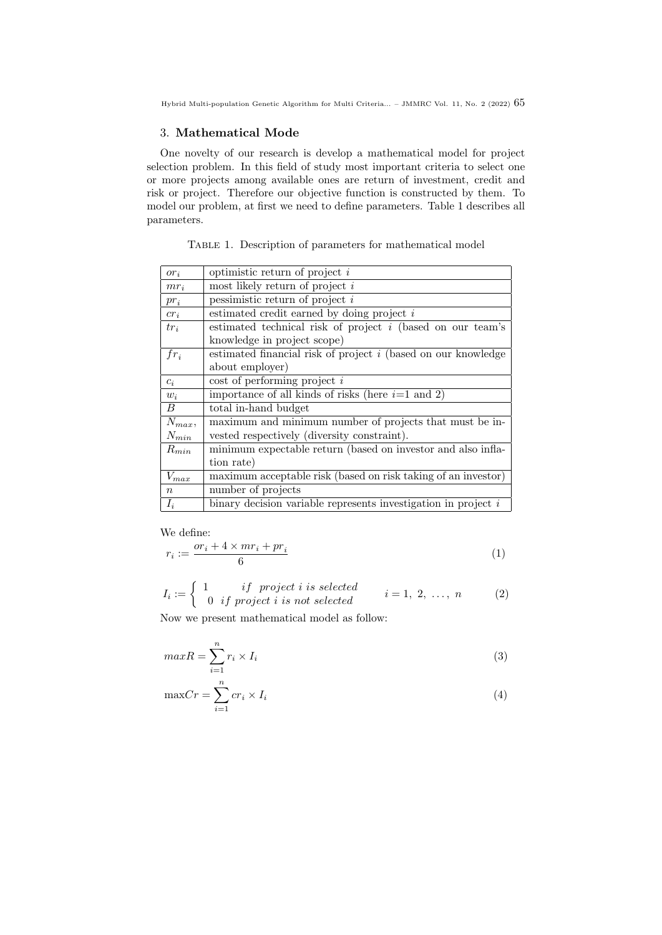# 3. Mathematical Mode

One novelty of our research is develop a mathematical model for project selection problem. In this field of study most important criteria to select one or more projects among available ones are return of investment, credit and risk or project. Therefore our objective function is constructed by them. To model our problem, at first we need to define parameters. Table 1 describes all parameters.

Table 1. Description of parameters for mathematical model

| $or_i$           | optimistic return of project $i$                                      |
|------------------|-----------------------------------------------------------------------|
| $mr_i$           | most likely return of project $i$                                     |
| $pr_i$           | pessimistic return of project $i$                                     |
| $cr_i$           | estimated credit earned by doing project $i$                          |
| $tr_i$           | estimated technical risk of project $i$ (based on our team's          |
|                  | knowledge in project scope)                                           |
| $fr_i$           | estimated financial risk of project <i>i</i> (based on our knowledge) |
|                  | about employer)                                                       |
| $c_i$            | $\cos t$ of performing project i                                      |
| $w_i$            | importance of all kinds of risks (here $i=1$ and 2)                   |
| В                | total in-hand budget                                                  |
| $N_{max}$        | maximum and minimum number of projects that must be in-               |
| $N_{min}$        | vested respectively (diversity constraint).                           |
| $R_{min}$        | minimum expectable return (based on investor and also infla-          |
|                  | tion rate)                                                            |
| $V_{max}$        | maximum acceptable risk (based on risk taking of an investor)         |
| $\boldsymbol{n}$ | number of projects                                                    |
| $I_i$            | binary decision variable represents investigation in project $i$      |

We define:

$$
r_i := \frac{or_i + 4 \times mr_i + pr_i}{6} \tag{1}
$$

$$
I_i := \begin{cases} 1 & if \text{ project } i \text{ is selected} \\ 0 & if \text{ project } i \text{ is not selected} \end{cases} \qquad i = 1, 2, ..., n \qquad (2)
$$

Now we present mathematical model as follow:

$$
maxR = \sum_{i=1}^{n} r_i \times I_i
$$
\n(3)

$$
\max Cr = \sum_{i=1}^{n} cr_i \times I_i \tag{4}
$$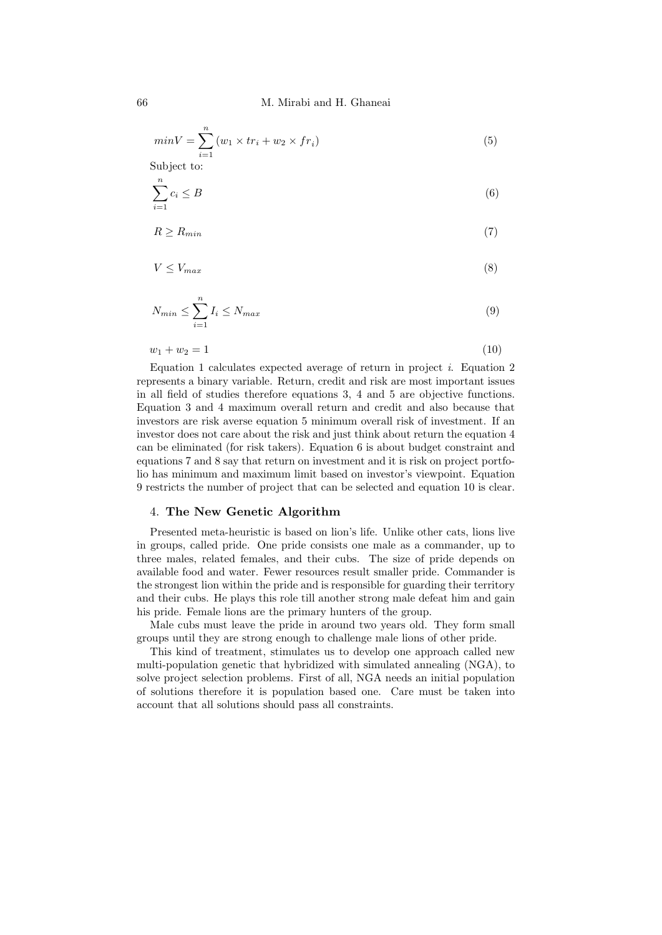66 M. Mirabi and H. Ghaneai

$$
minV = \sum_{i=1}^{n} (w_1 \times tr_i + w_2 \times fr_i)
$$
\n<sup>(5)</sup>

Subject to:

$$
\sum_{i=1}^{n} c_i \le B \tag{6}
$$

$$
R \ge R_{min} \tag{7}
$$

$$
V \le V_{max} \tag{8}
$$

$$
N_{min} \le \sum_{i=1}^{n} I_i \le N_{max} \tag{9}
$$

$$
w_1 + w_2 = 1 \tag{10}
$$

Equation 1 calculates expected average of return in project  $i$ . Equation 2 represents a binary variable. Return, credit and risk are most important issues in all field of studies therefore equations 3, 4 and 5 are objective functions. Equation 3 and 4 maximum overall return and credit and also because that investors are risk averse equation 5 minimum overall risk of investment. If an investor does not care about the risk and just think about return the equation 4 can be eliminated (for risk takers). Equation 6 is about budget constraint and equations 7 and 8 say that return on investment and it is risk on project portfolio has minimum and maximum limit based on investor's viewpoint. Equation 9 restricts the number of project that can be selected and equation 10 is clear.

## 4. The New Genetic Algorithm

Presented meta-heuristic is based on lion's life. Unlike other cats, lions live in groups, called pride. One pride consists one male as a commander, up to three males, related females, and their cubs. The size of pride depends on available food and water. Fewer resources result smaller pride. Commander is the strongest lion within the pride and is responsible for guarding their territory and their cubs. He plays this role till another strong male defeat him and gain his pride. Female lions are the primary hunters of the group.

Male cubs must leave the pride in around two years old. They form small groups until they are strong enough to challenge male lions of other pride.

This kind of treatment, stimulates us to develop one approach called new multi-population genetic that hybridized with simulated annealing (NGA), to solve project selection problems. First of all, NGA needs an initial population of solutions therefore it is population based one. Care must be taken into account that all solutions should pass all constraints.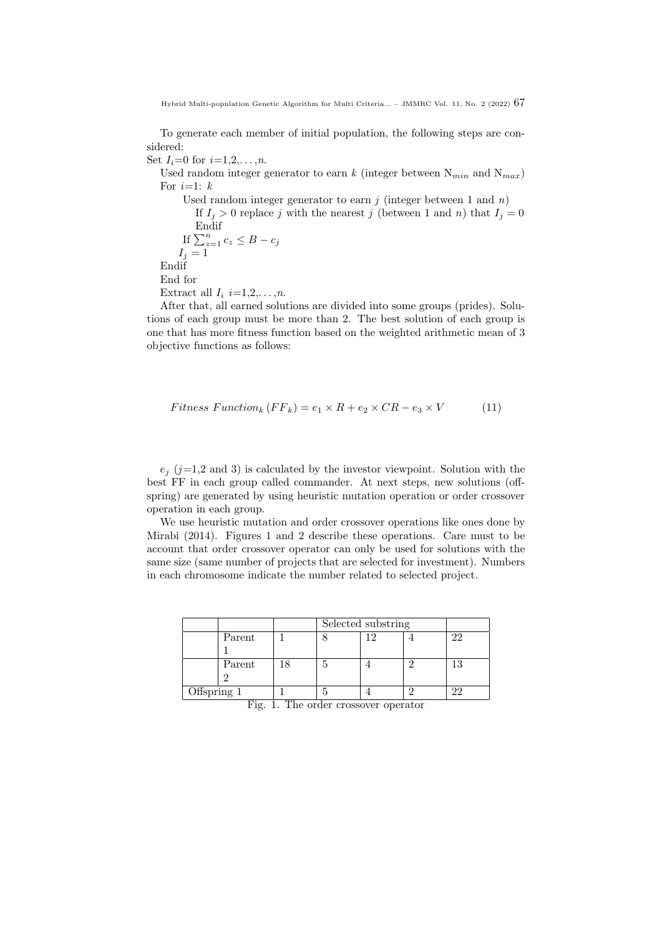To generate each member of initial population, the following steps are considered:

Set  $I_i = 0$  for  $i = 1, 2, ..., n$ .

Used random integer generator to earn k (integer between  $N_{min}$  and  $N_{max}$ ) For  $i=1$ :  $k$ 

Used random integer generator to earn  $j$  (integer between 1 and  $n$ ) If  $I_i > 0$  replace j with the nearest j (between 1 and n) that  $I_i = 0$ Endif If  $\sum_{z=1}^n c_z \leq B - c_j$  $I_i = 1$ Endif End for Extract all  $I_i$  i=1,2,...,n.

After that, all earned solutions are divided into some groups (prides). Solutions of each group must be more than 2. The best solution of each group is one that has more fitness function based on the weighted arithmetic mean of 3 objective functions as follows:

$$
Fitness\ Function_{k}(FF_{k}) = e_{1} \times R + e_{2} \times CR - e_{3} \times V \tag{11}
$$

 $e_j$  (j=1,2 and 3) is calculated by the investor viewpoint. Solution with the best FF in each group called commander. At next steps, new solutions (offspring) are generated by using heuristic mutation operation or order crossover operation in each group.

We use heuristic mutation and order crossover operations like ones done by Mirabi (2014). Figures 1 and 2 describe these operations. Care must to be account that order crossover operator can only be used for solutions with the same size (same number of projects that are selected for investment). Numbers in each chromosome indicate the number related to selected project.

|             |        | Selected substring |            |  |  |
|-------------|--------|--------------------|------------|--|--|
|             | Parent |                    | $\epsilon$ |  |  |
|             |        |                    |            |  |  |
|             | Parent |                    |            |  |  |
|             |        |                    |            |  |  |
| Offspring 1 |        |                    |            |  |  |

Fig. 1. The order crossover operator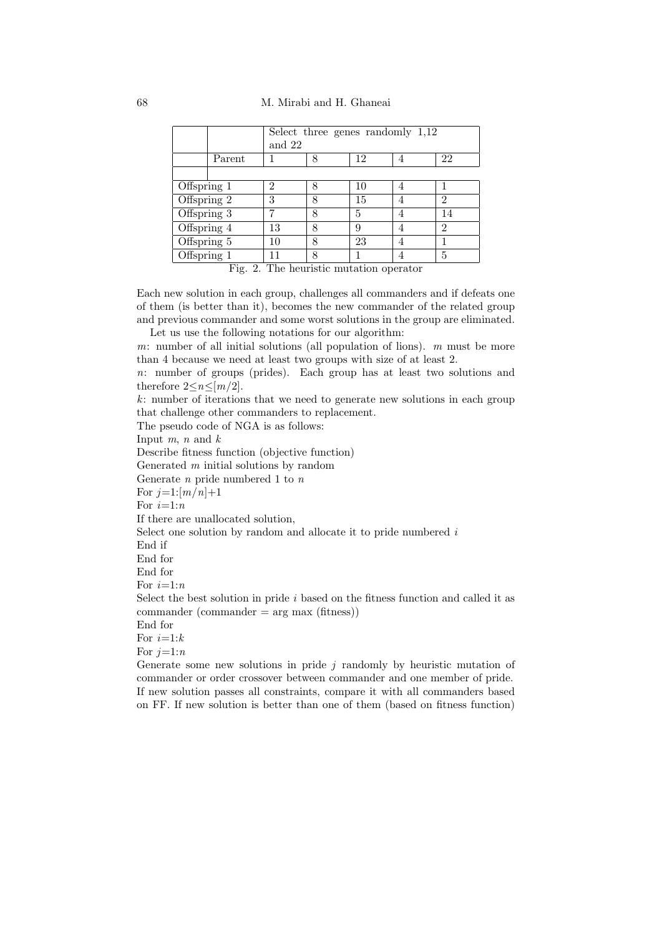|               |        | Select three genes randomly $1,12$ |   |    |  |                |  |  |  |  |  |
|---------------|--------|------------------------------------|---|----|--|----------------|--|--|--|--|--|
|               |        | and 22                             |   |    |  |                |  |  |  |  |  |
|               | Parent |                                    |   | 12 |  | 22             |  |  |  |  |  |
|               |        |                                    |   |    |  |                |  |  |  |  |  |
| Offspring 1   |        | $\overline{2}$                     |   | 10 |  |                |  |  |  |  |  |
| Offspring 2   |        | 3                                  | 8 | 15 |  | 2              |  |  |  |  |  |
| Offspring 3   |        | 7                                  | 8 | 5  |  |                |  |  |  |  |  |
| Offspring 4   |        | 13                                 | 8 | 9  |  | $\mathfrak{D}$ |  |  |  |  |  |
| Offspring 5   |        | 10                                 | 8 | 23 |  |                |  |  |  |  |  |
| Offspring $1$ |        | --                                 |   |    |  | 5              |  |  |  |  |  |

Fig. 2. The heuristic mutation operator

Each new solution in each group, challenges all commanders and if defeats one of them (is better than it), becomes the new commander of the related group and previous commander and some worst solutions in the group are eliminated. Let us use the following notations for our algorithm:

m: number of all initial solutions (all population of lions).  $m$  must be more than 4 because we need at least two groups with size of at least 2.

n: number of groups (prides). Each group has at least two solutions and therefore  $2 \leq n \leq [m/2]$ .

k: number of iterations that we need to generate new solutions in each group that challenge other commanders to replacement.

The pseudo code of NGA is as follows:

Input  $m$ ,  $n$  and  $k$ 

Describe fitness function (objective function)

Generated m initial solutions by random

Generate  $n$  pride numbered 1 to  $n$ 

For  $j=1:[m/n]+1$ 

For  $i=1:n$ 

If there are unallocated solution,

Select one solution by random and allocate it to pride numbered i

End if

End for

End for

For  $i=1:n$ 

Select the best solution in pride  $i$  based on the fitness function and called it as  $commonder (commander = arg max (fitness))$ 

End for

For  $i=1:k$ 

For  $i=1:n$ 

Generate some new solutions in pride  $j$  randomly by heuristic mutation of commander or order crossover between commander and one member of pride. If new solution passes all constraints, compare it with all commanders based on FF. If new solution is better than one of them (based on fitness function)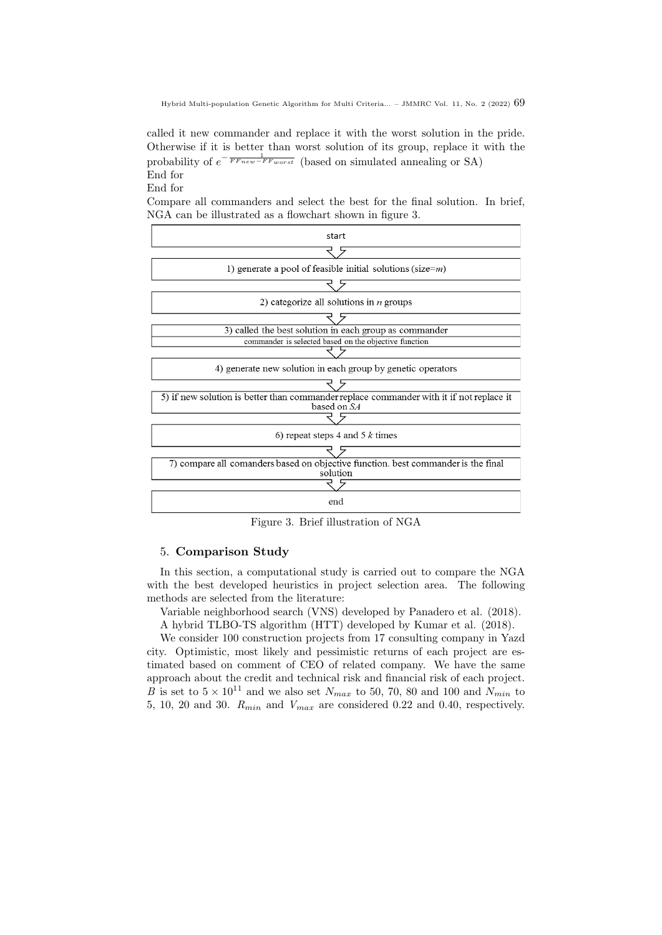called it new commander and replace it with the worst solution in the pride. Otherwise if it is better than worst solution of its group, replace it with the probability of  $e^{-\frac{1}{FF_{new}-F_{worst}}}$  (based on simulated annealing or SA) End for

End for

Compare all commanders and select the best for the final solution. In brief, NGA can be illustrated as a flowchart shown in figure 3.



Figure 3. Brief illustration of NGA

## 5. Comparison Study

In this section, a computational study is carried out to compare the NGA with the best developed heuristics in project selection area. The following methods are selected from the literature:

Variable neighborhood search (VNS) developed by Panadero et al. (2018).

A hybrid TLBO-TS algorithm (HTT) developed by Kumar et al. (2018).

We consider 100 construction projects from 17 consulting company in Yazd city. Optimistic, most likely and pessimistic returns of each project are estimated based on comment of CEO of related company. We have the same approach about the credit and technical risk and financial risk of each project. B is set to  $5 \times 10^{11}$  and we also set  $N_{max}$  to 50, 70, 80 and 100 and  $N_{min}$  to 5, 10, 20 and 30.  $R_{min}$  and  $V_{max}$  are considered 0.22 and 0.40, respectively.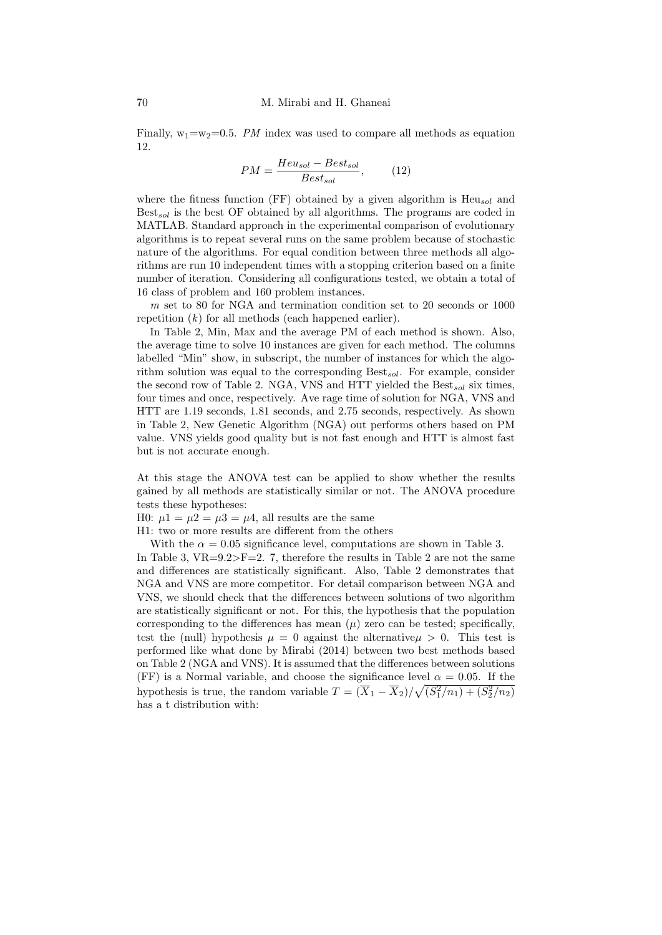Finally,  $w_1=w_2=0.5$ . PM index was used to compare all methods as equation 12.

$$
PM = \frac{Heu_{sol} - Best_{sol}}{Best_{sol}},\qquad(12)
$$

where the fitness function (FF) obtained by a given algorithm is  $Heu_{sol}$  and  $Best_{sol}$  is the best OF obtained by all algorithms. The programs are coded in MATLAB. Standard approach in the experimental comparison of evolutionary algorithms is to repeat several runs on the same problem because of stochastic nature of the algorithms. For equal condition between three methods all algorithms are run 10 independent times with a stopping criterion based on a finite number of iteration. Considering all configurations tested, we obtain a total of 16 class of problem and 160 problem instances.

m set to 80 for NGA and termination condition set to 20 seconds or 1000 repetition  $(k)$  for all methods (each happened earlier).

In Table 2, Min, Max and the average PM of each method is shown. Also, the average time to solve 10 instances are given for each method. The columns labelled "Min" show, in subscript, the number of instances for which the algorithm solution was equal to the corresponding  $Best_{sol}$ . For example, consider the second row of Table 2. NGA, VNS and HTT yielded the  $\text{Best}_{sol}$  six times, four times and once, respectively. Ave rage time of solution for NGA, VNS and HTT are 1.19 seconds, 1.81 seconds, and 2.75 seconds, respectively. As shown in Table 2, New Genetic Algorithm (NGA) out performs others based on PM value. VNS yields good quality but is not fast enough and HTT is almost fast but is not accurate enough.

At this stage the ANOVA test can be applied to show whether the results gained by all methods are statistically similar or not. The ANOVA procedure tests these hypotheses:

H0:  $\mu$ 1 =  $\mu$ 2 =  $\mu$ 3 =  $\mu$ 4, all results are the same

H1: two or more results are different from the others

With the  $\alpha = 0.05$  significance level, computations are shown in Table 3.

In Table 3,  $VR=9.2>F=2$ . 7, therefore the results in Table 2 are not the same and differences are statistically significant. Also, Table 2 demonstrates that NGA and VNS are more competitor. For detail comparison between NGA and VNS, we should check that the differences between solutions of two algorithm are statistically significant or not. For this, the hypothesis that the population corresponding to the differences has mean  $(\mu)$  zero can be tested; specifically, test the (null) hypothesis  $\mu = 0$  against the alternative  $\mu > 0$ . This test is performed like what done by Mirabi (2014) between two best methods based on Table 2 (NGA and VNS). It is assumed that the differences between solutions (FF) is a Normal variable, and choose the significance level  $\alpha = 0.05$ . If the hypothesis is true, the random variable  $T = (\overline{X}_1 - \overline{X}_2)/\sqrt{(S_1^2/n_1) + (S_2^2/n_2)}$ has a t distribution with: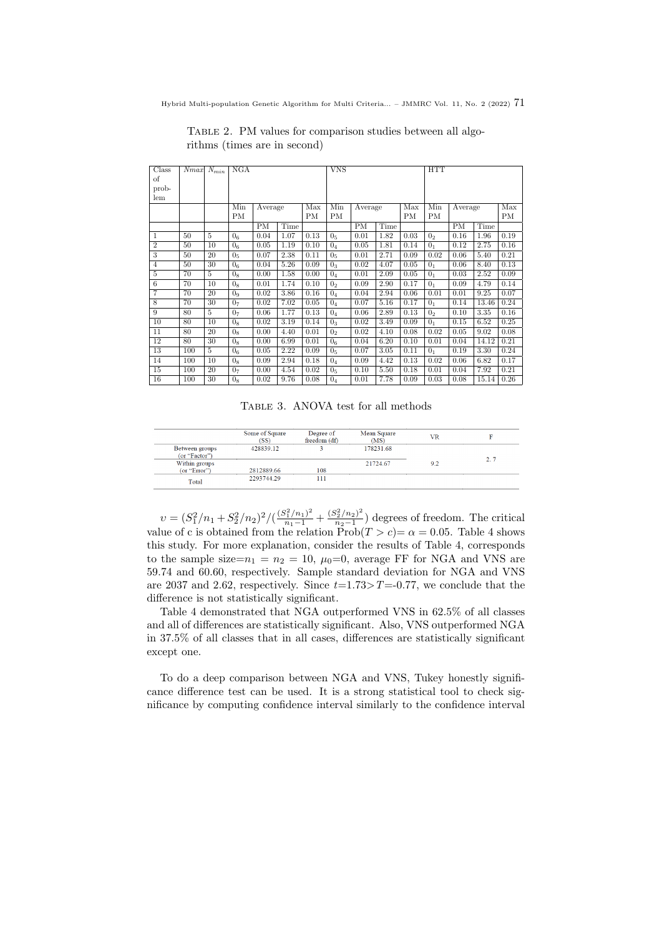| Class          | Nmax | $N_{min}$ | NGA            |         |      | <b>VNS</b> |                |         | <b>HTT</b> |      |                |         |       |      |
|----------------|------|-----------|----------------|---------|------|------------|----------------|---------|------------|------|----------------|---------|-------|------|
| οf             |      |           |                |         |      |            |                |         |            |      |                |         |       |      |
| prob-          |      |           |                |         |      |            |                |         |            |      |                |         |       |      |
| lem            |      |           |                |         |      |            |                |         |            |      |                |         |       |      |
|                |      |           | Min            | Average |      | Max        | Min            | Average |            | Max  | Min            | Average |       | Max  |
|                |      |           | PM             |         |      | <b>PM</b>  | PМ             |         |            | PM   | PM             |         |       | PМ   |
|                |      |           |                | PM      | Time |            |                | PM      | Time       |      |                | PM      | Time  |      |
| 1              | 50   | 5         | 0 <sub>6</sub> | 0.04    | 1.07 | 0.13       | 0 <sub>5</sub> | 0.01    | 1.82       | 0.03 | 0 <sub>2</sub> | 0.16    | 1.96  | 0.19 |
| $\overline{2}$ | 50   | 10        | 0 <sub>6</sub> | 0.05    | 1.19 | 0.10       | 0 <sub>4</sub> | 0.05    | 1.81       | 0.14 | 0 <sub>1</sub> | 0.12    | 2.75  | 0.16 |
| 3              | 50   | 20        | 0 <sub>5</sub> | 0.07    | 2.38 | 0.11       | 0 <sub>5</sub> | 0.01    | 2.71       | 0.09 | 0.02           | 0.06    | 5.40  | 0.21 |
| 4              | 50   | 30        | 0 <sub>6</sub> | 0.04    | 5.26 | 0.09       | 0 <sub>3</sub> | 0.02    | 4.07       | 0.05 | 0 <sub>1</sub> | 0.06    | 8.40  | 0.13 |
| 5              | 70   | 5         | 0 <sub>8</sub> | 0.00    | 1.58 | 0.00       | 0 <sub>4</sub> | 0.01    | 2.09       | 0.05 | 0 <sub>1</sub> | 0.03    | 2.52  | 0.09 |
| 6              | 70   | 10        | 0 <sub>8</sub> | 0.01    | 1.74 | 0.10       | 0 <sub>2</sub> | 0.09    | 2.90       | 0.17 | 0 <sub>1</sub> | 0.09    | 4.79  | 0.14 |
| 7              | 70   | 20        | 0 <sub>9</sub> | 0.02    | 3.86 | 0.16       | 0 <sub>4</sub> | 0.04    | 2.94       | 0.06 | 0.01           | 0.01    | 9.25  | 0.07 |
| 8              | 70   | 30        | 0 <sub>7</sub> | 0.02    | 7.02 | 0.05       | 0 <sub>4</sub> | 0.07    | 5.16       | 0.17 | 0 <sub>1</sub> | 0.14    | 13.46 | 0.24 |
| 9              | 80   | 5         | 0 <sub>7</sub> | 0.06    | 1.77 | 0.13       | 0 <sub>4</sub> | 0.06    | 2.89       | 0.13 | 0 <sub>2</sub> | 0.10    | 3.35  | 0.16 |
| 10             | 80   | 10        | 0 <sub>8</sub> | 0.02    | 3.19 | 0.14       | 0 <sub>3</sub> | 0.02    | 3.49       | 0.09 | 0 <sub>1</sub> | 0.15    | 6.52  | 0.25 |
| 11             | 80   | $^{20}$   | 0 <sub>8</sub> | 0.00    | 4.40 | 0.01       | 0 <sub>2</sub> | 0.02    | 4.10       | 0.08 | 0.02           | 0.05    | 9.02  | 0.08 |
| 12             | 80   | 30        | 0 <sub>8</sub> | 0.00    | 6.99 | 0.01       | 0 <sub>6</sub> | 0.04    | 6.20       | 0.10 | 0.01           | 0.04    | 14.12 | 0.21 |
| 13             | 100  | 5         | 0 <sub>6</sub> | 0.05    | 2.22 | 0.09       | 0 <sub>5</sub> | 0.07    | 3.05       | 0.11 | 0 <sub>1</sub> | 0.19    | 3.30  | 0.24 |
| 14             | 100  | 10        | 0 <sub>8</sub> | 0.09    | 2.94 | 0.18       | 0 <sub>4</sub> | 0.09    | 4.42       | 0.13 | 0.02           | 0.06    | 6.82  | 0.17 |
| 15             | 100  | 20        | 0 <sub>7</sub> | 0.00    | 4.54 | 0.02       | 0 <sub>5</sub> | 0.10    | 5.50       | 0.18 | 0.01           | 0.04    | 7.92  | 0.21 |
| 16             | 100  | 30        | 0 <sub>8</sub> | 0.02    | 9.76 | 0.08       | 0 <sub>4</sub> | 0.01    | 7.78       | 0.09 | 0.03           | 0.08    | 15.14 | 0.26 |

Table 2. PM values for comparison studies between all algorithms (times are in second)

Table 3. ANOVA test for all methods

|                                 | Some of Square<br>(SS) | Degree of<br>freedom (df) | Mean Square<br>(MS) | VR  |     |
|---------------------------------|------------------------|---------------------------|---------------------|-----|-----|
| Between groups<br>(or "Factor") | 428839.12              |                           | 178231.68           |     |     |
| Within groups                   |                        |                           | 21724.67            | 9.2 | 2.7 |
| (or "Error")                    | 2812889.66             | 108                       |                     |     |     |
| Total                           | 2293744.29             | 111                       |                     |     |     |

 $v = (S_1^2/n_1 + S_2^2/n_2)^2/(\frac{(S_1^2/n_1)^2}{n_1-1} + \frac{(S_2^2/n_2)^2}{n_2-1})$  $\frac{n_2+n_2j_1}{n_2-1}$  degrees of freedom. The critical value of c is obtained from the relation  $\text{Prob}(T > c) = \alpha = 0.05$ . Table 4 shows this study. For more explanation, consider the results of Table 4, corresponds to the sample size= $n_1 = n_2 = 10$ ,  $\mu_0 = 0$ , average FF for NGA and VNS are 59.74 and 60.60, respectively. Sample standard deviation for NGA and VNS are 2037 and 2.62, respectively. Since  $t=1.73>T=0.77$ , we conclude that the difference is not statistically significant.

Table 4 demonstrated that NGA outperformed VNS in 62.5% of all classes and all of differences are statistically significant. Also, VNS outperformed NGA in 37.5% of all classes that in all cases, differences are statistically significant except one.

To do a deep comparison between NGA and VNS, Tukey honestly significance difference test can be used. It is a strong statistical tool to check significance by computing confidence interval similarly to the confidence interval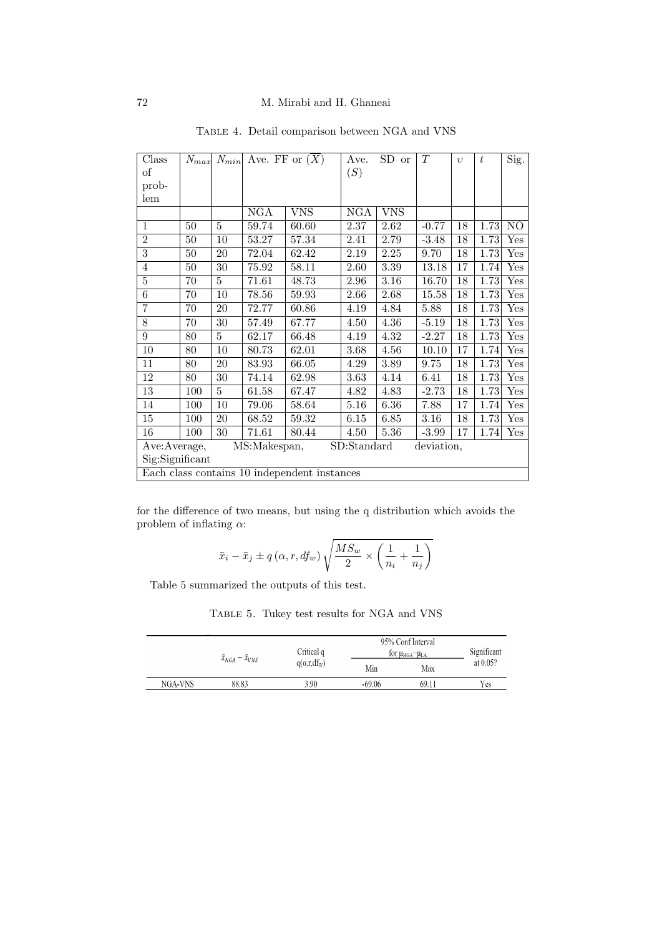| Class           | $N_{max}$ | $N_{min}$ | Ave. FF or $(\overline{X})$ |                                              | Ave.        | SD<br><b>or</b> | T          | $\eta$ | t    | Sig.                 |
|-----------------|-----------|-----------|-----------------------------|----------------------------------------------|-------------|-----------------|------------|--------|------|----------------------|
| οf              |           |           |                             |                                              | (S)         |                 |            |        |      |                      |
| prob-           |           |           |                             |                                              |             |                 |            |        |      |                      |
| lem             |           |           |                             |                                              |             |                 |            |        |      |                      |
|                 |           |           | NGA                         | <b>VNS</b>                                   | NGA         | <b>VNS</b>      |            |        |      |                      |
| $\mathbf{1}$    | 50        | 5         | 59.74                       | 60.60                                        | 2.37        | 2.62            | $-0.77$    | 18     | 1.73 | N <sub>O</sub>       |
| $\overline{2}$  | 50        | 10        | 53.27                       | 57.34                                        | 2.41        | 2.79            | $-3.48$    | 18     | 1.73 | Yes                  |
| $\overline{3}$  | 50        | 20        | 72.04                       | 62.42                                        | 2.19        | 2.25            | 9.70       | 18     | 1.73 | $_{\rm Yes}$         |
| $\overline{4}$  | $50\,$    | 30        | 75.92                       | 58.11                                        | 2.60        | 3.39            | 13.18      | 17     | 1.74 | $_{\rm Yes}$         |
| 5               | 70        | 5         | 71.61                       | 48.73                                        | 2.96        | 3.16            | 16.70      | 18     | 1.73 | Yes                  |
| 6               | 70        | 10        | 78.56                       | 59.93                                        | 2.66        | 2.68            | 15.58      | 18     | 1.73 | $_{\rm Yes}$         |
| $\overline{7}$  | 70        | 20        | 72.77                       | 60.86                                        | 4.19        | 4.84            | 5.88       | 18     | 1.73 | $_{\rm Yes}$         |
| 8               | 70        | 30        | 57.49                       | 67.77                                        | 4.50        | 4.36            | $-5.19$    | 18     | 1.73 | $_{\rm Yes}$         |
| 9               | 80        | 5         | 62.17                       | 66.48                                        | 4.19        | 4.32            | $-2.27$    | 18     | 1.73 | $_{\rm Yes}$         |
| 10              | 80        | 10        | 80.73                       | 62.01                                        | 3.68        | 4.56            | 10.10      | 17     | 1.74 | $_{\rm Yes}$         |
| 11              | 80        | 20        | 83.93                       | 66.05                                        | 4.29        | 3.89            | 9.75       | 18     | 1.73 | $_{\rm Yes}$         |
| 12              | 80        | 30        | 74.14                       | 62.98                                        | 3.63        | 4.14            | 6.41       | 18     | 1.73 | $_{\rm Yes}$         |
| 13              | 100       | 5         | 61.58                       | 67.47                                        | 4.82        | 4.83            | $-2.73$    | 18     | 1.73 | $\operatorname{Yes}$ |
| 14              | 100       | 10        | 79.06                       | 58.64                                        | 5.16        | 6.36            | 7.88       | 17     | 1.74 | $_{\rm Yes}$         |
| 15              | 100       | 20        | 68.52                       | 59.32                                        | 6.15        | 6.85            | 3.16       | 18     | 1.73 | $_{\rm Yes}$         |
| 16              | 100       | 30        | 71.61                       | 80.44                                        | 4.50        | 5.36            | $-3.99$    | 17     | 1.74 | Yes                  |
| Ave:Average,    |           |           | MS:Makespan,                |                                              | SD:Standard |                 | deviation, |        |      |                      |
| Sig:Significant |           |           |                             |                                              |             |                 |            |        |      |                      |
|                 |           |           |                             | Each class contains 10 independent instances |             |                 |            |        |      |                      |

Table 4. Detail comparison between NGA and VNS

for the difference of two means, but using the q distribution which avoids the problem of inflating  $\alpha$ :

$$
\bar{x}_i - \bar{x}_j \pm q\left(\alpha, r, df_w\right) \sqrt{\frac{MS_w}{2} \times \left(\frac{1}{n_i} + \frac{1}{n_j}\right)}
$$

Table 5 summarized the outputs of this test.

Table 5. Tukey test results for NGA and VNS

|         | $\bar{x}_{NGA} - \bar{x}_{VNS}$ | Critical q    | 95% Conf Interval<br>for $\mu_{HGA}$ $-\mu_{LA}$ | Significant |             |
|---------|---------------------------------|---------------|--------------------------------------------------|-------------|-------------|
|         |                                 | $q(a,r,df_w)$ | Min                                              | Max         | at $0.05$ ? |
| NGA-VNS | 88.83                           | 3.90          | $-69.06$                                         | 69.11       | Yes         |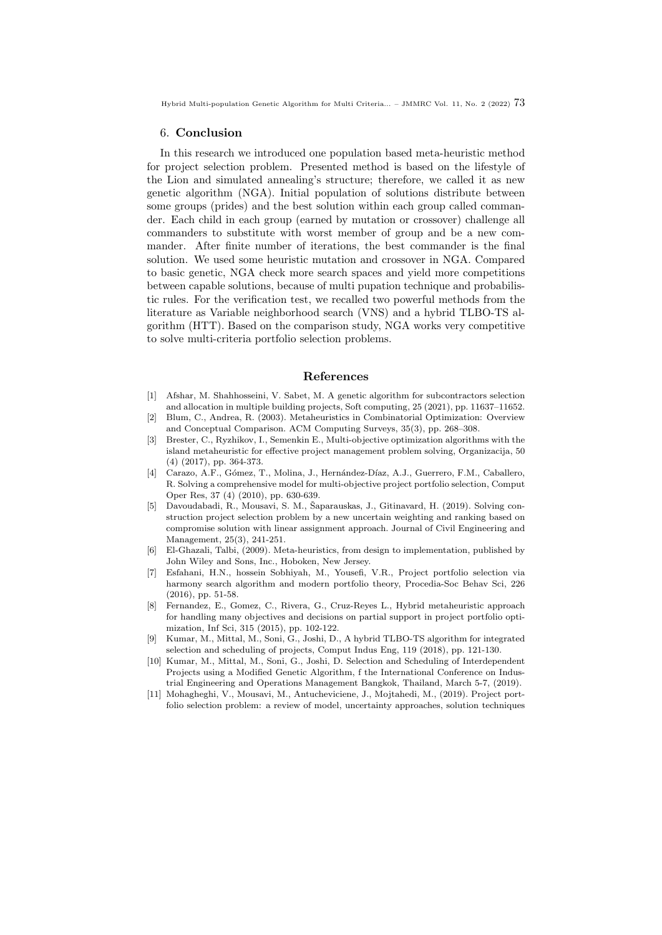#### 6. Conclusion

In this research we introduced one population based meta-heuristic method for project selection problem. Presented method is based on the lifestyle of the Lion and simulated annealing's structure; therefore, we called it as new genetic algorithm (NGA). Initial population of solutions distribute between some groups (prides) and the best solution within each group called commander. Each child in each group (earned by mutation or crossover) challenge all commanders to substitute with worst member of group and be a new commander. After finite number of iterations, the best commander is the final solution. We used some heuristic mutation and crossover in NGA. Compared to basic genetic, NGA check more search spaces and yield more competitions between capable solutions, because of multi pupation technique and probabilistic rules. For the verification test, we recalled two powerful methods from the literature as Variable neighborhood search (VNS) and a hybrid TLBO-TS algorithm (HTT). Based on the comparison study, NGA works very competitive to solve multi-criteria portfolio selection problems.

#### References

- <span id="page-12-9"></span>[1] Afshar, M. Shahhosseini, V. Sabet, M. A genetic algorithm for subcontractors selection and allocation in multiple building projects, Soft computing, 25 (2021), pp. 11637–11652.
- <span id="page-12-10"></span>[2] Blum, C., Andrea, R. (2003). Metaheuristics in Combinatorial Optimization: Overview and Conceptual Comparison. ACM Computing Surveys, 35(3), pp. 268–308.
- <span id="page-12-5"></span>[3] Brester, C., Ryzhikov, I., Semenkin E., Multi-objective optimization algorithms with the island metaheuristic for effective project management problem solving, Organizacija, 50 (4) (2017), pp. 364-373.
- <span id="page-12-2"></span>[4] Carazo, A.F., Gómez, T., Molina, J., Hernández-Díaz, A.J., Guerrero, F.M., Caballero, R. Solving a comprehensive model for multi-objective project portfolio selection, Comput Oper Res, 37 (4) (2010), pp. 630-639.
- <span id="page-12-7"></span>[5] Davoudabadi, R., Mousavi, S. M., Šaparauskas, J., Gitinavard, H. (2019). Solving construction project selection problem by a new uncertain weighting and ranking based on compromise solution with linear assignment approach. Journal of Civil Engineering and Management, 25(3), 241-251.
- <span id="page-12-0"></span>[6] El-Ghazali, Talbi, (2009). Meta-heuristics, from design to implementation, published by John Wiley and Sons, Inc., Hoboken, New Jersey.
- <span id="page-12-4"></span>[7] Esfahani, H.N., hossein Sobhiyah, M., Yousefi, V.R., Project portfolio selection via harmony search algorithm and modern portfolio theory, Procedia-Soc Behav Sci, 226 (2016), pp. 51-58.
- <span id="page-12-3"></span>[8] Fernandez, E., Gomez, C., Rivera, G., Cruz-Reyes L., Hybrid metaheuristic approach for handling many objectives and decisions on partial support in project portfolio optimization, Inf Sci, 315 (2015), pp. 102-122.
- <span id="page-12-6"></span>[9] Kumar, M., Mittal, M., Soni, G., Joshi, D., A hybrid TLBO-TS algorithm for integrated selection and scheduling of projects, Comput Indus Eng, 119 (2018), pp. 121-130.
- <span id="page-12-8"></span>[10] Kumar, M., Mittal, M., Soni, G., Joshi, D. Selection and Scheduling of Interdependent Projects using a Modified Genetic Algorithm, f the International Conference on Industrial Engineering and Operations Management Bangkok, Thailand, March 5-7, (2019).
- <span id="page-12-1"></span>[11] Mohagheghi, V., Mousavi, M., Antucheviciene, J., Mojtahedi, M., (2019). Project portfolio selection problem: a review of model, uncertainty approaches, solution techniques